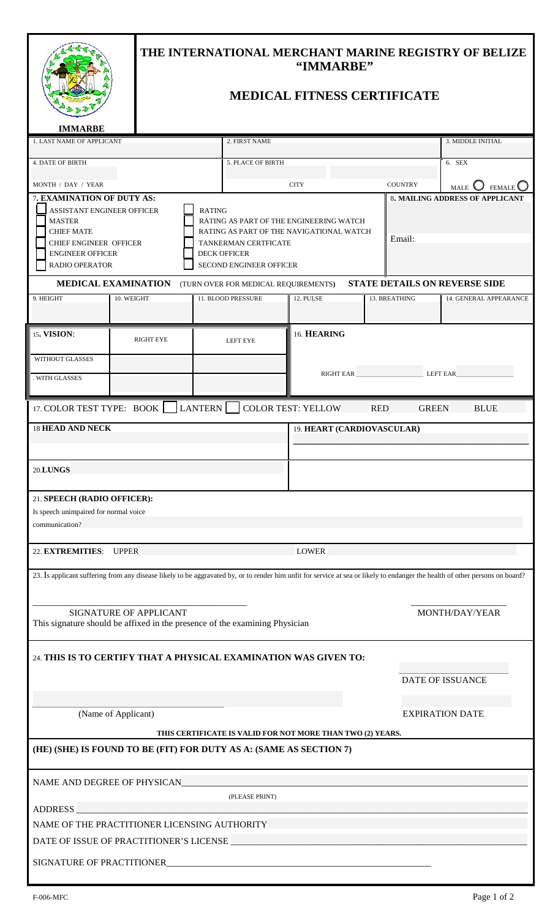|                                                                                                                                                                                                      |            | THE INTERNATIONAL MERCHANT MARINE REGISTRY OF BELIZE<br>"IMMARBE"<br><b>MEDICAL FITNESS CERTIFICATE</b> |                            |                                                                                                                                                                                |                        |  |               |                                        |
|------------------------------------------------------------------------------------------------------------------------------------------------------------------------------------------------------|------------|---------------------------------------------------------------------------------------------------------|----------------------------|--------------------------------------------------------------------------------------------------------------------------------------------------------------------------------|------------------------|--|---------------|----------------------------------------|
| <b>IMMARBE</b><br>1. LAST NAME OF APPLICANT                                                                                                                                                          |            |                                                                                                         |                            | 2. FIRST NAME                                                                                                                                                                  |                        |  |               | 3. MIDDLE INITIAL                      |
|                                                                                                                                                                                                      |            |                                                                                                         |                            |                                                                                                                                                                                |                        |  |               |                                        |
| <b>4. DATE OF BIRTH</b>                                                                                                                                                                              |            |                                                                                                         |                            | 5. PLACE OF BIRTH                                                                                                                                                              |                        |  |               | 6. SEX                                 |
| MONTH / DAY / YEAR                                                                                                                                                                                   |            |                                                                                                         |                            | <b>CITY</b><br><b>COUNTRY</b>                                                                                                                                                  |                        |  |               | <b>MALE</b><br><b>FEMALE</b>           |
| 7. EXAMINATION OF DUTY AS:<br><b>RATING</b><br>ASSISTANT ENGINEER OFFICER<br><b>MASTER</b><br><b>CHIEF MATE</b><br><b>CHIEF ENGINEER OFFICER</b><br><b>ENGINEER OFFICER</b><br><b>RADIO OPERATOR</b> |            |                                                                                                         |                            | RATING AS PART OF THE ENGINEERING WATCH<br>RATING AS PART OF THE NAVIGATIONAL WATCH<br>Email:<br>TANKERMAN CERTFICATE<br><b>DECK OFFICER</b><br><b>SECOND ENGINEER OFFICER</b> |                        |  |               | <b>8. MAILING ADDRESS OF APPLICANT</b> |
| <b>MEDICAL EXAMINATION</b>                                                                                                                                                                           |            |                                                                                                         |                            | (TURN OVER FOR MEDICAL REQUIREMENTS)                                                                                                                                           |                        |  |               | <b>STATE DETAILS ON REVERSE SIDE</b>   |
| 9. HEIGHT                                                                                                                                                                                            | 10. WEIGHT |                                                                                                         |                            | 11. BLOOD PRESSURE                                                                                                                                                             | 12. PULSE              |  | 13. BREATHING | 14. GENERAL APPEARANCE                 |
|                                                                                                                                                                                                      |            |                                                                                                         |                            |                                                                                                                                                                                |                        |  |               |                                        |
| 15. VISION:                                                                                                                                                                                          |            | 16. HEARING<br><b>RIGHT EYE</b><br>LEFT EYE                                                             |                            |                                                                                                                                                                                |                        |  |               |                                        |
| <b>WITHOUT GLASSES</b>                                                                                                                                                                               |            |                                                                                                         |                            |                                                                                                                                                                                |                        |  |               |                                        |
| WITH GLASSES                                                                                                                                                                                         |            |                                                                                                         |                            |                                                                                                                                                                                | RIGHT EAR LEFT EAR     |  |               |                                        |
|                                                                                                                                                                                                      |            |                                                                                                         |                            |                                                                                                                                                                                |                        |  |               |                                        |
| 17. COLOR TEST TYPE: BOOK   LANTERN  <br>COLOR TEST: YELLOW________ RED_______ GREEN_____<br><b>BLUE</b>                                                                                             |            |                                                                                                         |                            |                                                                                                                                                                                |                        |  |               |                                        |
| <b>18 HEAD AND NECK</b>                                                                                                                                                                              |            |                                                                                                         | 19. HEART (CARDIOVASCULAR) |                                                                                                                                                                                |                        |  |               |                                        |
|                                                                                                                                                                                                      |            |                                                                                                         |                            |                                                                                                                                                                                |                        |  |               |                                        |
| 21. SPEECH (RADIO OFFICER):                                                                                                                                                                          |            |                                                                                                         |                            |                                                                                                                                                                                |                        |  |               |                                        |
| Is speech unimpaired for normal voice<br>communication?                                                                                                                                              |            |                                                                                                         |                            |                                                                                                                                                                                |                        |  |               |                                        |
|                                                                                                                                                                                                      |            |                                                                                                         |                            |                                                                                                                                                                                |                        |  |               |                                        |
| 23. Is applicant suffering from any disease likely to be aggravated by, or to render him unfit for service at sea or likely to endanger the health of other persons on board?                        |            |                                                                                                         |                            |                                                                                                                                                                                |                        |  |               |                                        |
| SIGNATURE OF APPLICANT<br>MONTH/DAY/YEAR<br>This signature should be affixed in the presence of the examining Physician                                                                              |            |                                                                                                         |                            |                                                                                                                                                                                |                        |  |               |                                        |
| 24. THIS IS TO CERTIFY THAT A PHYSICAL EXAMINATION WAS GIVEN TO:<br><b>DATE OF ISSUANCE</b>                                                                                                          |            |                                                                                                         |                            |                                                                                                                                                                                |                        |  |               |                                        |
|                                                                                                                                                                                                      |            |                                                                                                         |                            |                                                                                                                                                                                |                        |  |               |                                        |
|                                                                                                                                                                                                      |            |                                                                                                         |                            |                                                                                                                                                                                | <b>EXPIRATION DATE</b> |  |               |                                        |
| (Name of Applicant)                                                                                                                                                                                  |            |                                                                                                         |                            |                                                                                                                                                                                |                        |  |               |                                        |
| THIS CERTIFICATE IS VALID FOR NOT MORE THAN TWO (2) YEARS.<br>(HE) (SHE) IS FOUND TO BE (FIT) FOR DUTY AS A: (SAME AS SECTION 7)                                                                     |            |                                                                                                         |                            |                                                                                                                                                                                |                        |  |               |                                        |
| NAME AND DEGREE OF PHYSICAN CONTROL CONTROL CONTROL CONTROL CONTROL CONTROL CONTROL CONTROL CONTROL CONTROL CO                                                                                       |            |                                                                                                         |                            |                                                                                                                                                                                |                        |  |               |                                        |
| (PLEASE PRINT)                                                                                                                                                                                       |            |                                                                                                         |                            |                                                                                                                                                                                |                        |  |               |                                        |
| ADDRESS ADDRESS<br>NAME OF THE PRACTITIONER LICENSING AUTHORITY                                                                                                                                      |            |                                                                                                         |                            |                                                                                                                                                                                |                        |  |               |                                        |
|                                                                                                                                                                                                      |            |                                                                                                         |                            |                                                                                                                                                                                |                        |  |               |                                        |
|                                                                                                                                                                                                      |            |                                                                                                         |                            |                                                                                                                                                                                |                        |  |               |                                        |
|                                                                                                                                                                                                      |            |                                                                                                         |                            |                                                                                                                                                                                |                        |  |               |                                        |